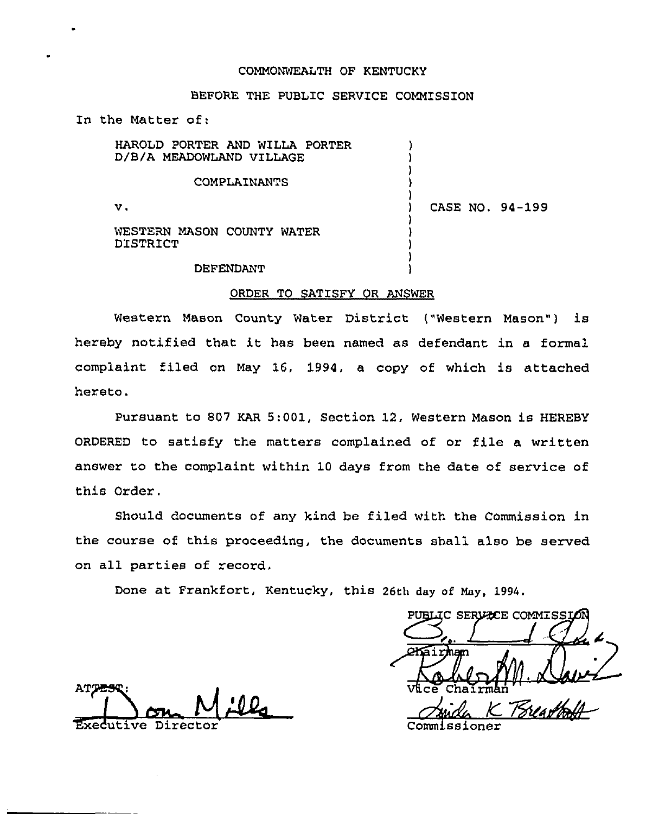### COMMONWEALTH OF KENTUCKY

# BEFORE THE PUBLIC SERVICE COMMISSION

In the Matter of:

HAROLD PORTER AND WILLA PORTER ) D/B/A MEADOWLAND VILLAGE ) ) COMPLAINANTS ) )  $\mathbf v$ . ) CASE NO. 94-199 ) WESTERN MASON COUNTY WATER ) DISTRICT )

DEFENDANT

#### ORDER TO SATISFY OR ANSWER

) )

Western Mason County Water District ("Western Mason") is hereby notified that it has been named as defendant in <sup>a</sup> formal complaint filed on May 16, 1994, a copy of which is attached hereto.

Pursuant to 807 KAR 5:001, Section 12, Western Mason is HEREBY ORDERED to satisfy the mattexs complained of or file a written answer to the complaint within 10 days from the date of service of this Order.

Should documents of any kind be filed with the Commission in the course of this proceeding, the documents shall also be served on all parties of record.

Done at Frankfort, Kentucky, this 26th day of May, 1994.

PUBLIC SERVECE COMMISSIO  $V$ ice Chairma

AT PES Executive Directo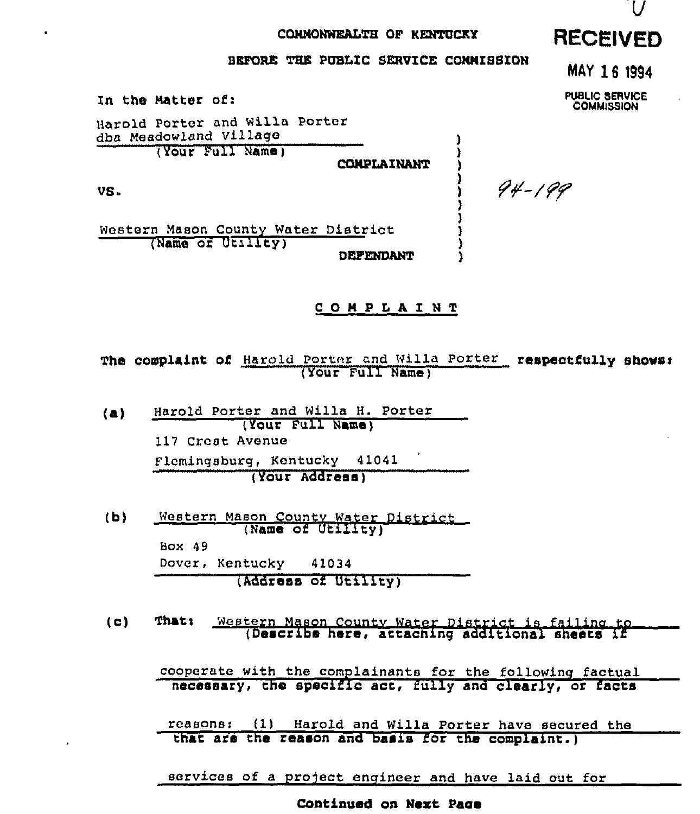# CONMONWEALTH OF KENTUCKY RECEIVED

### BEFORE THE PUBLIC SERVICE COMMISSION

In the Natter of:

Harold Porter and Willa Porter dba Meadowland Village (Your Full Name)

COMPLAINANT

) ) 3

> ) ) )

VS <sup>~</sup>

Western Mason County Water District (Name or Utrlity) DEFENDANT

# COMPLAINT

The complaint of Harold Porter and Willa Porter respectfully shows: (Your Full Name)

(a) Harold Porter and Willa H. Porter ( Your Pull Name ) 117 Crest Avenue Flomingsburg, Kentucky 41041 (Your Address)

(b) Western Mason Countv water District (Name of Utility) Box 49 Dover, Kentucky 41034 (Address of Utility)

(c) Thats western Mason countv water District is failina to (Describe here, attaching additional sheets if

cooperate with the complainants for the following factual necessary, the specific act, fully and clearly, or facts

reasons: (1) Harold and Willa Porter have secured the that are the reason and basis for the complaint.)

services of a project engineer and have laid out for

Continued on Next Pace

MAY 16 1994

PUBLIC SERVICE **COMMISSION** 

94-199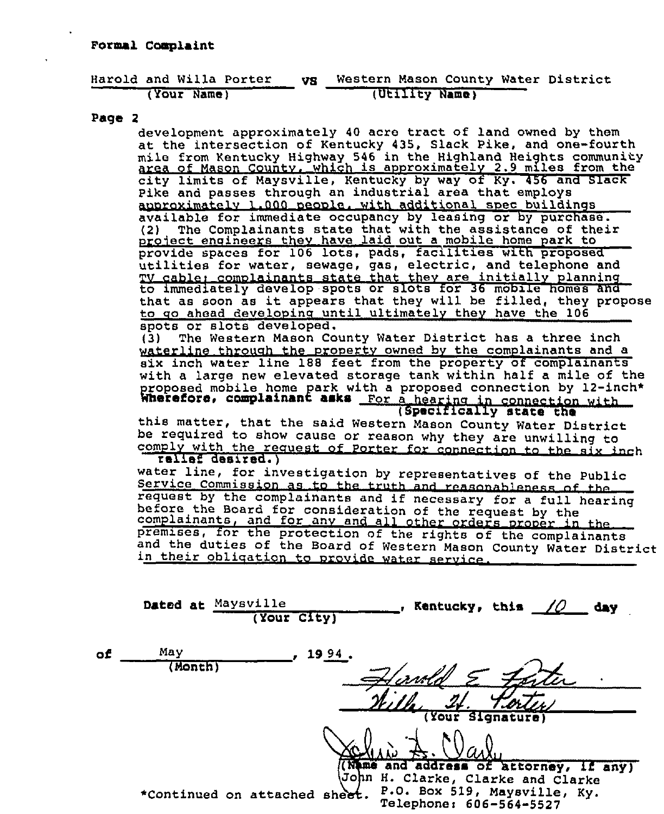|             |  |  | Harold and Willa Porter | VS. |                |  | Western Mason County Water District |
|-------------|--|--|-------------------------|-----|----------------|--|-------------------------------------|
| (Your Name) |  |  |                         |     | (Utility Name) |  |                                     |

# Page 2

development approximately 40 acre tract of land owned by them at the intersection of Kentucky 435, Slack Pike, and one-fourth mile from Kentucky Highway 546 in the Highland Heights community area of Mason County, which is approximately 2.9 miles from the city limits of Maysville, Kentucky by way of Ky. 456 and Slack Pike and passes through an industrial area that employs anoroximately 1.000 people. with additional spec buildings available for immediate occupancy by leasing  $\overline{or}$  by purchase.<br>(2) The Complainants state that with the assistance of their project engineers they have laid out a mobile home park to<br>provide spaces for 106 lots, pads, facilities with proposed utilities for water, sewage, gas, electric, and telephone and TV cable; complainants state that they are initially planning to immediately develop spots or slots for 36 mobile homes and that as soon as it appears that they will be filled, they propose to go ahead developing until ultimately they have the 106 spots or slots developed.<br>(3) The Western Mason Co The Western Mason County Water District has a three inch waterline through the property owned by the complainants and a six inch water line 188 feet from the property of complainants with a large new elevated storage tank within half a mile of the proposed mobile home park with a proposed connection by 12-inch<sup>\*</sup><br>Wherefore, complainant asks For a hearing in connection with Wherefore, complainant asks For a hearing in connection with<br>this matter, that the said Western Mason County Water District<br>be required to show cause or reason why they are unwilling to<br>comply with the request of Porter fo comply with the request of Porter for connection to the six inch

water line, for investigation by representatives of the Public<br>Service Commission as to the truth and reasonableness of the<br>request by the complainants and if necessary for a full hearing before the Board for consideration of the request by the complainants, and for any and all other orders proper in the premises, for the protection of the rights of the complainants and the duties of the Board of Western Mason County Water District in their obliqation to provide water service.

|    |        | Dated at Maysville<br>(Your City) | <b>Kentucky, this</b><br>IO    | day     |
|----|--------|-----------------------------------|--------------------------------|---------|
| of | May    | 1994.                             |                                |         |
|    | Month) |                                   |                                |         |
|    |        |                                   | <u>T.or</u>                    |         |
|    |        |                                   | (Your Signature)               |         |
|    |        |                                   |                                |         |
|    |        |                                   | (Name and address of attorney, | if any) |

(John H. Clarke, Clarke and Clarke \*Continued on attached sheet. P.O. Box 519, Maysville, Ky. Telephonei 606-564-5527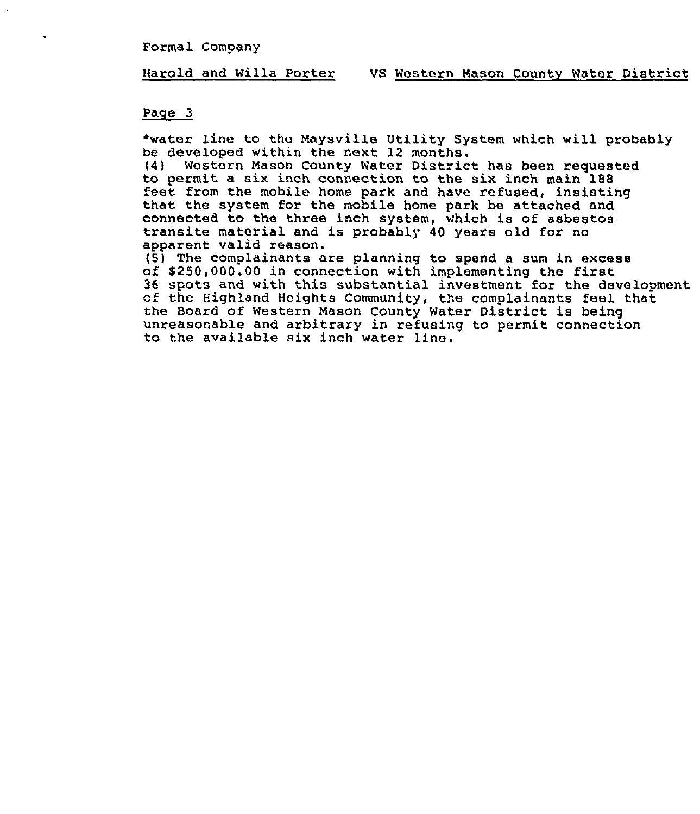Formal Company

#### Harold and Willa Porter VS Western Mason County Water District

#### Page 3

\*water line to the Maysville Utility System which will probably be developed within the next 12 months.

{4) Western Mason County Water District has been requested feet from the mobile home park and have refused, insisting that the system for the mobile home park be attached and connected to the three inch system, which is of asbestos transite material and is probably <sup>40</sup> years old for no apparent valid reason.<br>(5) The complainants are planning to spend a sum in excess

of \$250,000.00 in connection with implementing the first<br>36 spots and with this substantial investment for the development of the Highland Heights Community, the complainants feel that the Board of Western Mason County Water District is being unreasonable and arbitrary in refusing to permit connection to the available six inch water line.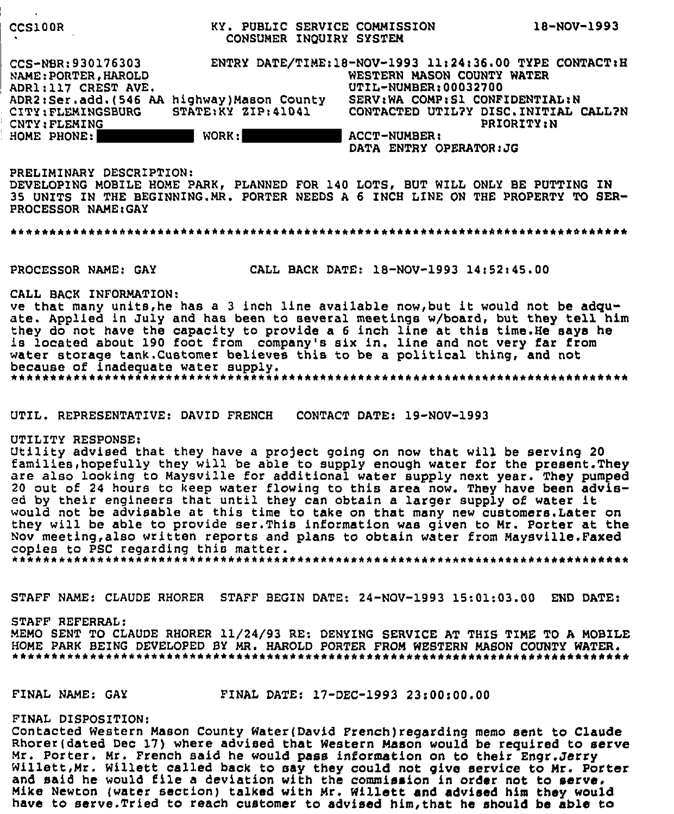| <b>CCS100R</b>                                                                                                          | KY. PUBLIC SERVICE COMMISSION<br>CONSUMER INQUIRY SYSTEM                    |                                                                                                                                                                                                                                              | TR-MOA-TAA? |
|-------------------------------------------------------------------------------------------------------------------------|-----------------------------------------------------------------------------|----------------------------------------------------------------------------------------------------------------------------------------------------------------------------------------------------------------------------------------------|-------------|
| CCS-NBR: 930176303<br>NAME: PORTER, HAROLD<br>ADR1:117 CREST AVE.<br>CITY: FLEMINGSBURG<br>CNTY: FLEMING<br>HOME PHONE: | ADR2:Ser.add.(546 AA highway) Mason County<br>STATE: KY ZIP: 41041<br>WORK: | ENTRY DATE/TIME:18-NOV-1993 11:24:36.00 TYPE CONTACT:H<br>WESTERN MASON COUNTY WATER<br>UTIL-NUMBER:00032700<br>SERV: WA COMP: S1 CONFIDENTIAL: N<br>CONTACTED UTIL?Y DISC. INITIAL CALL?N<br><b>ACCT-NUMBER:</b><br>DATA ENTRY OPERATOR: JG | PRIORITY: N |

PRELIMINARY DESCRIPTION: DEVELOPING MOBILE HOME PARK, PLANNED FOR 140 LOTS, BUT WILL ONLY BE PUTTING IN 35 UNITS IN THE BEGINNING. MR. PORTER NEEDS A 6 INCH LINE ON THE PROPERTY TO SER-PROCESSOR NAME: GAY

PROCESSOR NAME: GAY

 $\frac{1}{2}$ 

CALL BACK DATE: 18-NOV-1993 14:52:45.00

CALL BACK INFORMATION:

ve that many units, he has a 3 inch line available now, but it would not be adquate. Applied in July and has been to several meetings w/board, but they tell him they do not have the capacity to provide a 6 inch line at this time. He says he is located about 190 foot from company's six in. line and not very far from water storage tank. Customer believes this to be a political thing, and not because of inadequate water supply. 

UTIL. REPRESENTATIVE: DAVID FRENCH CONTACT DATE: 19-NOV-1993

UTILITY RESPONSE:

Utility advised that they have a project going on now that will be serving 20 families, hopefully they will be able to supply enough water for the present. They are also looking to Maysville for additional water supply next year. They pumped 20 out of 24 hours to keep water flowing to this area now. They have been advised by their engineers that until they can obtain a larger supply of water it would not be advisable at this time to take on that many new customers. Later on they will be able to provide ser. This information was given to Mr. Porter at the Nov meeting, also written reports and plans to obtain water from Maysville. Faxed copies to PSC regarding this matter. 

STAFF NAME: CLAUDE RHORER STAFF BEGIN DATE: 24-NOV-1993 15:01:03.00 END DATE:

STAFF REFERRAL: MEMO SENT TO CLAUDE RHORER 11/24/93 RE: DENYING SERVICE AT THIS TIME TO A MOBILE HOME PARK BEING DEVELOPED BY MR. HAROLD PORTER FROM WESTERN MASON COUNTY WATER. 

FINAL NAME: GAY FINAL DATE: 17-DEC-1993 23:00:00.00

FINAL DISPOSITION:

Contacted Western Mason County Water(David French) regarding memo sent to Claude Rhorer(dated Dec 17) where advised that Western Mason would be required to serve Mr. Porter. Mr. French said he would pass information on to their Engr.Jerry Willett, Mr. Willett called back to say they could not give service to Mr. Porter and said he would file a deviation with the commission in order not to serve. Mike Newton (water section) talked with Mr. Willett and advised him they would have to serve. Tried to reach customer to advised him, that he should be able to